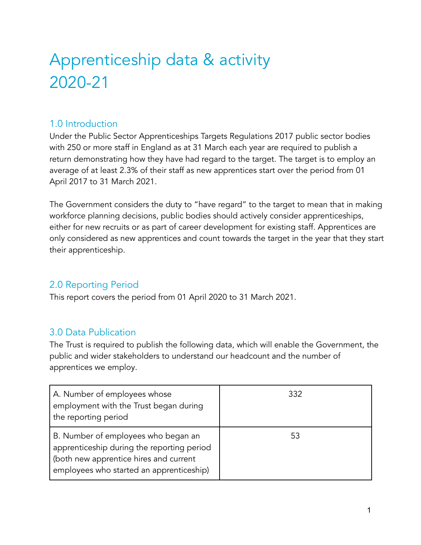# Apprenticeship data & activity 2020-21

### 1.0 Introduction

Under the Public Sector Apprenticeships Targets Regulations 2017 public sector bodies with 250 or more staff in England as at 31 March each year are required to publish a return demonstrating how they have had regard to the target. The target is to employ an average of at least 2.3% of their staff as new apprentices start over the period from 01 April 2017 to 31 March 2021.

The Government considers the duty to "have regard" to the target to mean that in making workforce planning decisions, public bodies should actively consider apprenticeships, either for new recruits or as part of career development for existing staff. Apprentices are only considered as new apprentices and count towards the target in the year that they start their apprenticeship.

# 2.0 Reporting Period

This report covers the period from 01 April 2020 to 31 March 2021.

# 3.0 Data Publication

The Trust is required to publish the following data, which will enable the Government, the public and wider stakeholders to understand our headcount and the number of apprentices we employ.

| A. Number of employees whose<br>employment with the Trust began during<br>the reporting period                                                                          | 332 |
|-------------------------------------------------------------------------------------------------------------------------------------------------------------------------|-----|
| B. Number of employees who began an<br>apprenticeship during the reporting period<br>(both new apprentice hires and current<br>employees who started an apprenticeship) | 53  |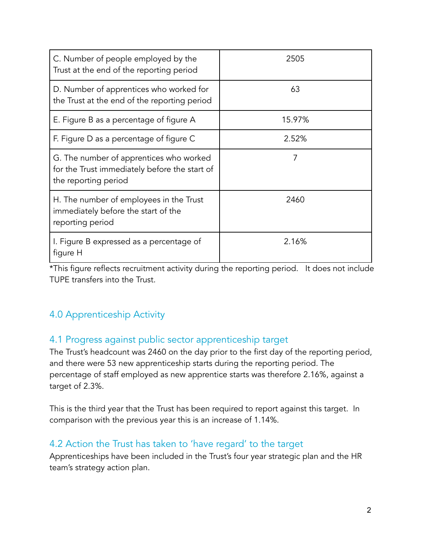| C. Number of people employed by the<br>Trust at the end of the reporting period                                  | 2505   |
|------------------------------------------------------------------------------------------------------------------|--------|
| D. Number of apprentices who worked for<br>the Trust at the end of the reporting period                          | 63     |
| E. Figure B as a percentage of figure A                                                                          | 15.97% |
| F. Figure D as a percentage of figure C                                                                          | 2.52%  |
| G. The number of apprentices who worked<br>for the Trust immediately before the start of<br>the reporting period | 7      |
| H. The number of employees in the Trust<br>immediately before the start of the<br>reporting period               | 2460   |
| I. Figure B expressed as a percentage of<br>figure H                                                             | 2.16%  |

\*This figure reflects recruitment activity during the reporting period. It does not include TUPE transfers into the Trust.

# 4.0 Apprenticeship Activity

#### 4.1 Progress against public sector apprenticeship target

The Trust's headcount was 2460 on the day prior to the first day of the reporting period, and there were 53 new apprenticeship starts during the reporting period. The percentage of staff employed as new apprentice starts was therefore 2.16%, against a target of 2.3%.

This is the third year that the Trust has been required to report against this target. In comparison with the previous year this is an increase of 1.14%.

#### 4.2 Action the Trust has taken to 'have regard' to the target

Apprenticeships have been included in the Trust's four year strategic plan and the HR team's strategy action plan.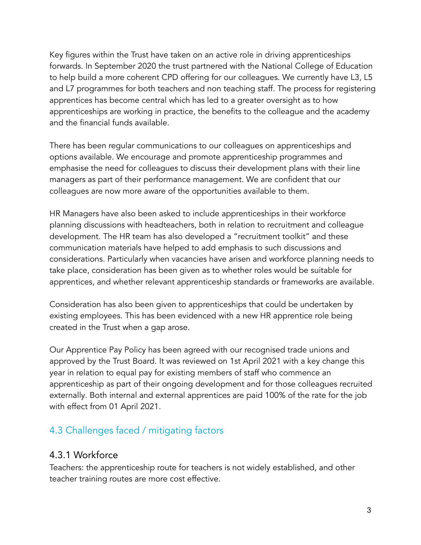Key figures within the Trust have taken on an active role in driving apprenticeships forwards. In September 2020 the trust partnered with the National College of Education to help build a more coherent CPD offering for our colleagues. We currently have L3, L5 and L7 programmes for both teachers and non teaching staff. The process for registering apprentices has become central which has led to a greater oversight as to how apprenticeships are working in practice, the benefits to the colleague and the academy and the financial funds available.

There has been regular communications to our colleagues on apprenticeships and options available. We encourage and promote apprenticeship programmes and emphasise the need for colleagues to discuss their development plans with their line managers as part of their performance management. We are confident that our colleagues are now more aware of the opportunities available to them.

HR Managers have also been asked to include apprenticeships in their workforce planning discussions with headteachers, both in relation to recruitment and colleague development. The HR team has also developed a "recruitment toolkit" and these communication materials have helped to add emphasis to such discussions and considerations. Particularly when vacancies have arisen and workforce planning needs to take place, consideration has been given as to whether roles would be suitable for apprentices, and whether relevant apprenticeship standards or frameworks are available.

Consideration has also been given to apprenticeships that could be undertaken by existing employees. This has been evidenced with a new HR apprentice role being created in the Trust when a gap arose.

Our Apprentice Pay Policy has been agreed with our recognised trade unions and approved by the Trust Board. It was reviewed on 1st April 2021 with a key change this year in relation to equal pay for existing members of staff who commence an apprenticeship as part of their ongoing development and for those colleagues recruited externally. Both internal and external apprentices are paid 100% of the rate for the job with effect from 01 April 2021.

# 4.3 Challenges faced / mitigating factors

#### 4.3.1 Workforce

Teachers: the apprenticeship route for teachers is not widely established, and other teacher training routes are more cost effective.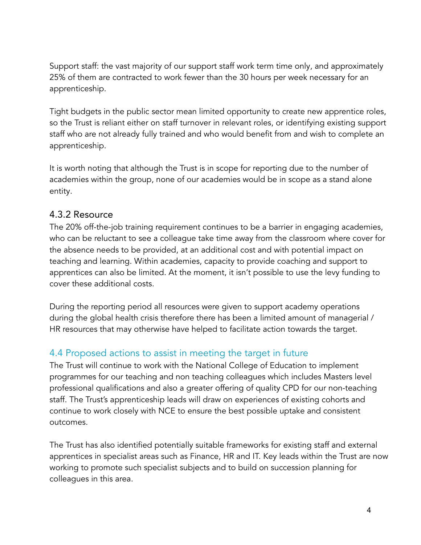Support staff: the vast majority of our support staff work term time only, and approximately 25% of them are contracted to work fewer than the 30 hours per week necessary for an apprenticeship.

Tight budgets in the public sector mean limited opportunity to create new apprentice roles, so the Trust is reliant either on staff turnover in relevant roles, or identifying existing support staff who are not already fully trained and who would benefit from and wish to complete an apprenticeship.

It is worth noting that although the Trust is in scope for reporting due to the number of academies within the group, none of our academies would be in scope as a stand alone entity.

#### 4.3.2 Resource

The 20% off-the-job training requirement continues to be a barrier in engaging academies, who can be reluctant to see a colleague take time away from the classroom where cover for the absence needs to be provided, at an additional cost and with potential impact on teaching and learning. Within academies, capacity to provide coaching and support to apprentices can also be limited. At the moment, it isn't possible to use the levy funding to cover these additional costs.

During the reporting period all resources were given to support academy operations during the global health crisis therefore there has been a limited amount of managerial / HR resources that may otherwise have helped to facilitate action towards the target.

# 4.4 Proposed actions to assist in meeting the target in future

The Trust will continue to work with the National College of Education to implement programmes for our teaching and non teaching colleagues which includes Masters level professional qualifications and also a greater offering of quality CPD for our non-teaching staff. The Trust's apprenticeship leads will draw on experiences of existing cohorts and continue to work closely with NCE to ensure the best possible uptake and consistent outcomes.

The Trust has also identified potentially suitable frameworks for existing staff and external apprentices in specialist areas such as Finance, HR and IT. Key leads within the Trust are now working to promote such specialist subjects and to build on succession planning for colleagues in this area.